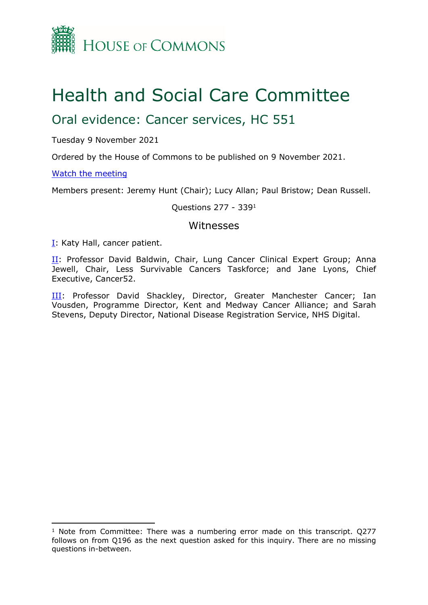

# Health and Social Care Committee

## Oral evidence: Cancer services, HC 551

Tuesday 9 November 2021

Ordered by the House of Commons to be published on 9 November 2021.

## [Watch](https://parliamentlive.tv/Event/Index/3e3d241a-a117-44f7-9488-2c72f6cbe0d1) [the](https://parliamentlive.tv/Event/Index/3e3d241a-a117-44f7-9488-2c72f6cbe0d1) [meeting](https://parliamentlive.tv/Event/Index/3e3d241a-a117-44f7-9488-2c72f6cbe0d1)

Members present: Jeremy Hunt (Chair); Lucy Allan; Paul Bristow; Dean Russell.

## Questions 277 - 339<sup>1</sup>

## Witnesses

[I:](#page-1-0) Katy Hall, cancer patient.

[II](#page-20-0): Professor David Baldwin, Chair, Lung Cancer Clinical Expert Group; Anna Jewell, Chair, Less Survivable Cancers Taskforce; and Jane Lyons, Chief Executive, Cancer52.

[III:](#page-4-0) Professor David Shackley, Director, Greater Manchester Cancer; Ian Vousden, Programme Director, Kent and Medway Cancer Alliance; and Sarah Stevens, Deputy Director, National Disease Registration Service, NHS Digital.

<sup>&</sup>lt;sup>1</sup> Note from Committee: There was a numbering error made on this transcript. Q277 follows on from Q196 as the next question asked for this inquiry. There are no missing questions in-between.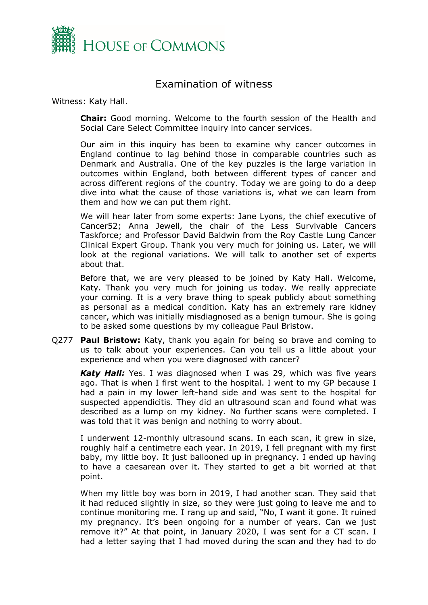

## <span id="page-1-0"></span>Examination of witness

Witness: Katy Hall.

**Chair:** Good morning. Welcome to the fourth session of the Health and Social Care Select Committee inquiry into cancer services.

Our aim in this inquiry has been to examine why cancer outcomes in England continue to lag behind those in comparable countries such as Denmark and Australia. One of the key puzzles is the large variation in outcomes within England, both between different types of cancer and across different regions of the country. Today we are going to do a deep dive into what the cause of those variations is, what we can learn from them and how we can put them right.

We will hear later from some experts: Jane Lyons, the chief executive of Cancer52; Anna Jewell, the chair of the Less Survivable Cancers Taskforce; and Professor David Baldwin from the Roy Castle Lung Cancer Clinical Expert Group. Thank you very much for joining us. Later, we will look at the regional variations. We will talk to another set of experts about that.

Before that, we are very pleased to be joined by Katy Hall. Welcome, Katy. Thank you very much for joining us today. We really appreciate your coming. It is a very brave thing to speak publicly about something as personal as a medical condition. Katy has an extremely rare kidney cancer, which was initially misdiagnosed as a benign tumour. She is going to be asked some questions by my colleague Paul Bristow.

Q277 **Paul Bristow:** Katy, thank you again for being so brave and coming to us to talk about your experiences. Can you tell us a little about your experience and when you were diagnosed with cancer?

*Katy Hall:* Yes. I was diagnosed when I was 29, which was five years ago. That is when I first went to the hospital. I went to my GP because I had a pain in my lower left-hand side and was sent to the hospital for suspected appendicitis. They did an ultrasound scan and found what was described as a lump on my kidney. No further scans were completed. I was told that it was benign and nothing to worry about.

I underwent 12-monthly ultrasound scans. In each scan, it grew in size, roughly half a centimetre each year. In 2019, I fell pregnant with my first baby, my little boy. It just ballooned up in pregnancy. I ended up having to have a caesarean over it. They started to get a bit worried at that point.

When my little boy was born in 2019, I had another scan. They said that it had reduced slightly in size, so they were just going to leave me and to continue monitoring me. I rang up and said, "No, I want it gone. It ruined my pregnancy. It's been ongoing for a number of years. Can we just remove it?" At that point, in January 2020, I was sent for a CT scan. I had a letter saying that I had moved during the scan and they had to do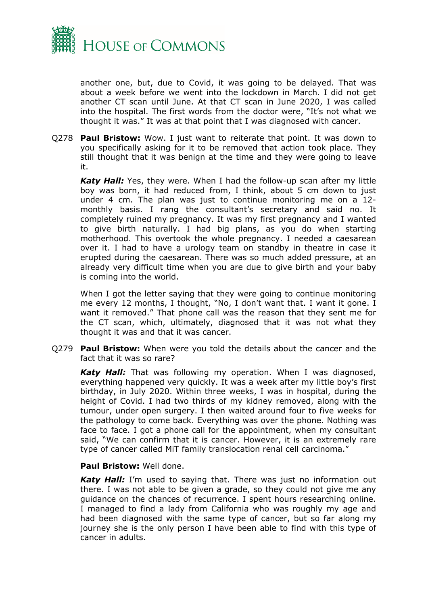

another one, but, due to Covid, it was going to be delayed. That was about a week before we went into the lockdown in March. I did not get another CT scan until June. At that CT scan in June 2020, I was called into the hospital. The first words from the doctor were, "It's not what we thought it was." It was at that point that I was diagnosed with cancer.

Q278 **Paul Bristow:** Wow. I just want to reiterate that point. It was down to you specifically asking for it to be removed that action took place. They still thought that it was benign at the time and they were going to leave it.

*Katy Hall:* Yes, they were. When I had the follow-up scan after my little boy was born, it had reduced from, I think, about 5 cm down to just under 4 cm. The plan was just to continue monitoring me on a 12 monthly basis. I rang the consultant's secretary and said no. It completely ruined my pregnancy. It was my first pregnancy and I wanted to give birth naturally. I had big plans, as you do when starting motherhood. This overtook the whole pregnancy. I needed a caesarean over it. I had to have a urology team on standby in theatre in case it erupted during the caesarean. There was so much added pressure, at an already very difficult time when you are due to give birth and your baby is coming into the world.

When I got the letter saying that they were going to continue monitoring me every 12 months, I thought, "No, I don't want that. I want it gone. I want it removed." That phone call was the reason that they sent me for the CT scan, which, ultimately, diagnosed that it was not what they thought it was and that it was cancer.

Q279 **Paul Bristow:** When were you told the details about the cancer and the fact that it was so rare?

*Katy Hall:* That was following my operation. When I was diagnosed, everything happened very quickly. It was a week after my little boy's first birthday, in July 2020. Within three weeks, I was in hospital, during the height of Covid. I had two thirds of my kidney removed, along with the tumour, under open surgery. I then waited around four to five weeks for the pathology to come back. Everything was over the phone. Nothing was face to face. I got a phone call for the appointment, when my consultant said, "We can confirm that it is cancer. However, it is an extremely rare type of cancer called MiT family translocation renal cell carcinoma."

## **Paul Bristow:** Well done.

*Katy Hall:* I'm used to saying that. There was just no information out there. I was not able to be given a grade, so they could not give me any guidance on the chances of recurrence. I spent hours researching online. I managed to find a lady from California who was roughly my age and had been diagnosed with the same type of cancer, but so far along my journey she is the only person I have been able to find with this type of cancer in adults.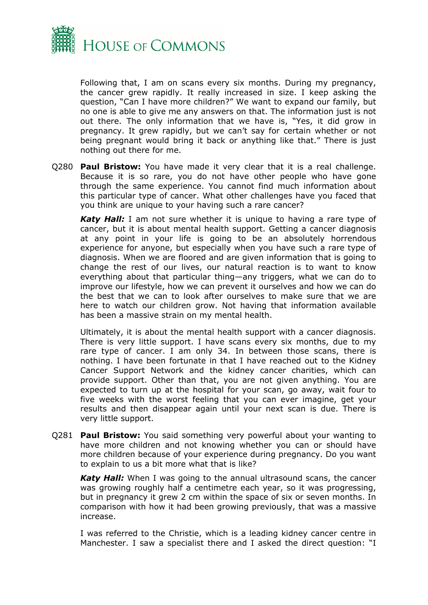

Following that, I am on scans every six months. During my pregnancy, the cancer grew rapidly. It really increased in size. I keep asking the question, "Can I have more children?" We want to expand our family, but no one is able to give me any answers on that. The information just is not out there. The only information that we have is, "Yes, it did grow in pregnancy. It grew rapidly, but we can't say for certain whether or not being pregnant would bring it back or anything like that." There is just nothing out there for me.

Q280 **Paul Bristow:** You have made it very clear that it is a real challenge. Because it is so rare, you do not have other people who have gone through the same experience. You cannot find much information about this particular type of cancer. What other challenges have you faced that you think are unique to your having such a rare cancer?

*Katy Hall:* I am not sure whether it is unique to having a rare type of cancer, but it is about mental health support. Getting a cancer diagnosis at any point in your life is going to be an absolutely horrendous experience for anyone, but especially when you have such a rare type of diagnosis. When we are floored and are given information that is going to change the rest of our lives, our natural reaction is to want to know everything about that particular thing—any triggers, what we can do to improve our lifestyle, how we can prevent it ourselves and how we can do the best that we can to look after ourselves to make sure that we are here to watch our children grow. Not having that information available has been a massive strain on my mental health.

Ultimately, it is about the mental health support with a cancer diagnosis. There is very little support. I have scans every six months, due to my rare type of cancer. I am only 34. In between those scans, there is nothing. I have been fortunate in that I have reached out to the Kidney Cancer Support Network and the kidney cancer charities, which can provide support. Other than that, you are not given anything. You are expected to turn up at the hospital for your scan, go away, wait four to five weeks with the worst feeling that you can ever imagine, get your results and then disappear again until your next scan is due. There is very little support.

Q281 **Paul Bristow:** You said something very powerful about your wanting to have more children and not knowing whether you can or should have more children because of your experience during pregnancy. Do you want to explain to us a bit more what that is like?

*Katy Hall:* When I was going to the annual ultrasound scans, the cancer was growing roughly half a centimetre each year, so it was progressing, but in pregnancy it grew 2 cm within the space of six or seven months. In comparison with how it had been growing previously, that was a massive increase.

I was referred to the Christie, which is a leading kidney cancer centre in Manchester. I saw a specialist there and I asked the direct question: "I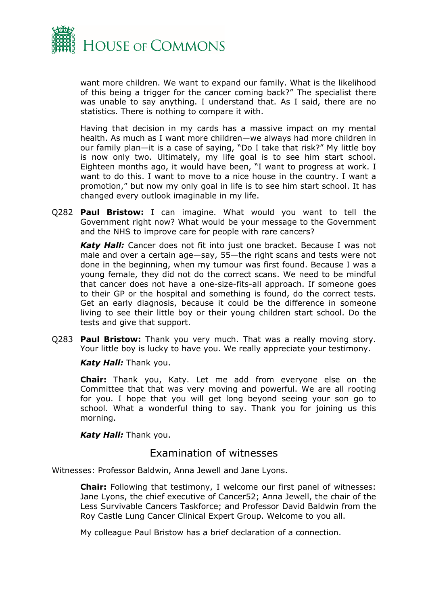

want more children. We want to expand our family. What is the likelihood of this being a trigger for the cancer coming back?" The specialist there was unable to say anything. I understand that. As I said, there are no statistics. There is nothing to compare it with.

Having that decision in my cards has a massive impact on my mental health. As much as I want more children—we always had more children in our family plan—it is a case of saying, "Do I take that risk?" My little boy is now only two. Ultimately, my life goal is to see him start school. Eighteen months ago, it would have been, "I want to progress at work. I want to do this. I want to move to a nice house in the country. I want a promotion," but now my only goal in life is to see him start school. It has changed every outlook imaginable in my life.

Q282 **Paul Bristow:** I can imagine. What would you want to tell the Government right now? What would be your message to the Government and the NHS to improve care for people with rare cancers?

*Katy Hall:* Cancer does not fit into just one bracket. Because I was not male and over a certain age—say, 55—the right scans and tests were not done in the beginning, when my tumour was first found. Because I was a young female, they did not do the correct scans. We need to be mindful that cancer does not have a one-size-fits-all approach. If someone goes to their GP or the hospital and something is found, do the correct tests. Get an early diagnosis, because it could be the difference in someone living to see their little boy or their young children start school. Do the tests and give that support.

Q283 **Paul Bristow:** Thank you very much. That was a really moving story. Your little boy is lucky to have you. We really appreciate your testimony.

*Katy Hall:* Thank you.

**Chair:** Thank you, Katy. Let me add from everyone else on the Committee that that was very moving and powerful. We are all rooting for you. I hope that you will get long beyond seeing your son go to school. What a wonderful thing to say. Thank you for joining us this morning.

*Katy Hall:* Thank you.

## <span id="page-4-0"></span>Examination of witnesses

Witnesses: Professor Baldwin, Anna Jewell and Jane Lyons.

**Chair:** Following that testimony, I welcome our first panel of witnesses: Jane Lyons, the chief executive of Cancer52; Anna Jewell, the chair of the Less Survivable Cancers Taskforce; and Professor David Baldwin from the Roy Castle Lung Cancer Clinical Expert Group. Welcome to you all.

My colleague Paul Bristow has a brief declaration of a connection.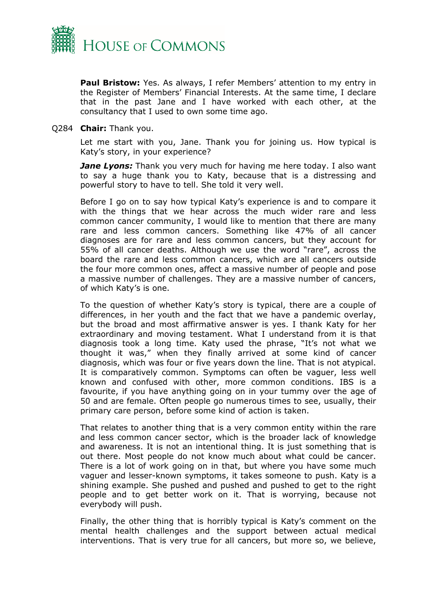

**Paul Bristow:** Yes. As always, I refer Members' attention to my entry in the Register of Members' Financial Interests. At the same time, I declare that in the past Jane and I have worked with each other, at the consultancy that I used to own some time ago.

### Q284 **Chair:** Thank you.

Let me start with you, Jane. Thank you for joining us. How typical is Katy's story, in your experience?

*Jane Lyons:* Thank you very much for having me here today. I also want to say a huge thank you to Katy, because that is a distressing and powerful story to have to tell. She told it very well.

Before I go on to say how typical Katy's experience is and to compare it with the things that we hear across the much wider rare and less common cancer community, I would like to mention that there are many rare and less common cancers. Something like 47% of all cancer diagnoses are for rare and less common cancers, but they account for 55% of all cancer deaths. Although we use the word "rare", across the board the rare and less common cancers, which are all cancers outside the four more common ones, affect a massive number of people and pose a massive number of challenges. They are a massive number of cancers, of which Katy's is one.

To the question of whether Katy's story is typical, there are a couple of differences, in her youth and the fact that we have a pandemic overlay, but the broad and most affirmative answer is yes. I thank Katy for her extraordinary and moving testament. What I understand from it is that diagnosis took a long time. Katy used the phrase, "It's not what we thought it was," when they finally arrived at some kind of cancer diagnosis, which was four or five years down the line. That is not atypical. It is comparatively common. Symptoms can often be vaguer, less well known and confused with other, more common conditions. IBS is a favourite, if you have anything going on in your tummy over the age of 50 and are female. Often people go numerous times to see, usually, their primary care person, before some kind of action is taken.

That relates to another thing that is a very common entity within the rare and less common cancer sector, which is the broader lack of knowledge and awareness. It is not an intentional thing. It is just something that is out there. Most people do not know much about what could be cancer. There is a lot of work going on in that, but where you have some much vaguer and lesser-known symptoms, it takes someone to push. Katy is a shining example. She pushed and pushed and pushed to get to the right people and to get better work on it. That is worrying, because not everybody will push.

Finally, the other thing that is horribly typical is Katy's comment on the mental health challenges and the support between actual medical interventions. That is very true for all cancers, but more so, we believe,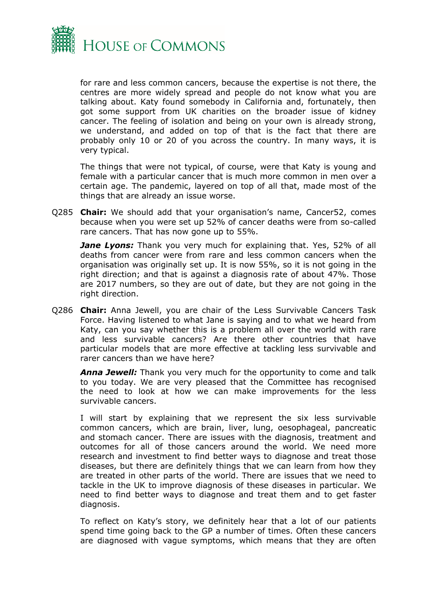

for rare and less common cancers, because the expertise is not there, the centres are more widely spread and people do not know what you are talking about. Katy found somebody in California and, fortunately, then got some support from UK charities on the broader issue of kidney cancer. The feeling of isolation and being on your own is already strong, we understand, and added on top of that is the fact that there are probably only 10 or 20 of you across the country. In many ways, it is very typical.

The things that were not typical, of course, were that Katy is young and female with a particular cancer that is much more common in men over a certain age. The pandemic, layered on top of all that, made most of the things that are already an issue worse.

Q285 **Chair:** We should add that your organisation's name, Cancer52, comes because when you were set up 52% of cancer deaths were from so-called rare cancers. That has now gone up to 55%.

*Jane Lyons:* Thank you very much for explaining that. Yes, 52% of all deaths from cancer were from rare and less common cancers when the organisation was originally set up. It is now 55%, so it is not going in the right direction; and that is against a diagnosis rate of about 47%. Those are 2017 numbers, so they are out of date, but they are not going in the right direction.

Q286 **Chair:** Anna Jewell, you are chair of the Less Survivable Cancers Task Force. Having listened to what Jane is saying and to what we heard from Katy, can you say whether this is a problem all over the world with rare and less survivable cancers? Are there other countries that have particular models that are more effective at tackling less survivable and rarer cancers than we have here?

*Anna Jewell:* Thank you very much for the opportunity to come and talk to you today. We are very pleased that the Committee has recognised the need to look at how we can make improvements for the less survivable cancers.

I will start by explaining that we represent the six less survivable common cancers, which are brain, liver, lung, oesophageal, pancreatic and stomach cancer. There are issues with the diagnosis, treatment and outcomes for all of those cancers around the world. We need more research and investment to find better ways to diagnose and treat those diseases, but there are definitely things that we can learn from how they are treated in other parts of the world. There are issues that we need to tackle in the UK to improve diagnosis of these diseases in particular. We need to find better ways to diagnose and treat them and to get faster diagnosis.

To reflect on Katy's story, we definitely hear that a lot of our patients spend time going back to the GP a number of times. Often these cancers are diagnosed with vague symptoms, which means that they are often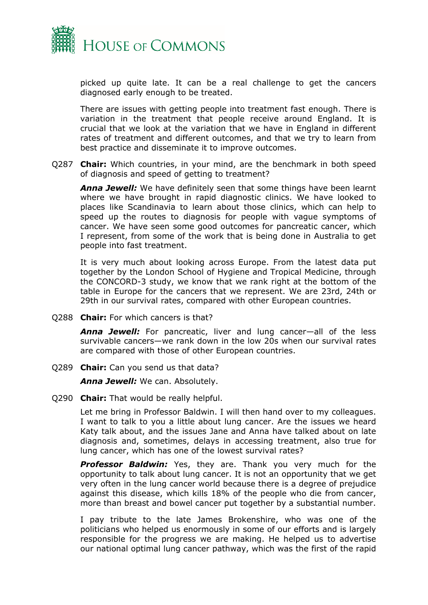

picked up quite late. It can be a real challenge to get the cancers diagnosed early enough to be treated.

There are issues with getting people into treatment fast enough. There is variation in the treatment that people receive around England. It is crucial that we look at the variation that we have in England in different rates of treatment and different outcomes, and that we try to learn from best practice and disseminate it to improve outcomes.

Q287 **Chair:** Which countries, in your mind, are the benchmark in both speed of diagnosis and speed of getting to treatment?

*Anna Jewell:* We have definitely seen that some things have been learnt where we have brought in rapid diagnostic clinics. We have looked to places like Scandinavia to learn about those clinics, which can help to speed up the routes to diagnosis for people with vague symptoms of cancer. We have seen some good outcomes for pancreatic cancer, which I represent, from some of the work that is being done in Australia to get people into fast treatment.

It is very much about looking across Europe. From the latest data put together by the London School of Hygiene and Tropical Medicine, through the CONCORD-3 study, we know that we rank right at the bottom of the table in Europe for the cancers that we represent. We are 23rd, 24th or 29th in our survival rates, compared with other European countries.

Q288 **Chair:** For which cancers is that?

*Anna Jewell:* For pancreatic, liver and lung cancer—all of the less survivable cancers—we rank down in the low 20s when our survival rates are compared with those of other European countries.

Q289 **Chair:** Can you send us that data?

*Anna Jewell:* We can. Absolutely.

Q290 **Chair:** That would be really helpful.

Let me bring in Professor Baldwin. I will then hand over to my colleagues. I want to talk to you a little about lung cancer. Are the issues we heard Katy talk about, and the issues Jane and Anna have talked about on late diagnosis and, sometimes, delays in accessing treatment, also true for lung cancer, which has one of the lowest survival rates?

*Professor Baldwin:* Yes, they are. Thank you very much for the opportunity to talk about lung cancer. It is not an opportunity that we get very often in the lung cancer world because there is a degree of prejudice against this disease, which kills 18% of the people who die from cancer, more than breast and bowel cancer put together by a substantial number.

I pay tribute to the late James Brokenshire, who was one of the politicians who helped us enormously in some of our efforts and is largely responsible for the progress we are making. He helped us to advertise our national optimal lung cancer pathway, which was the first of the rapid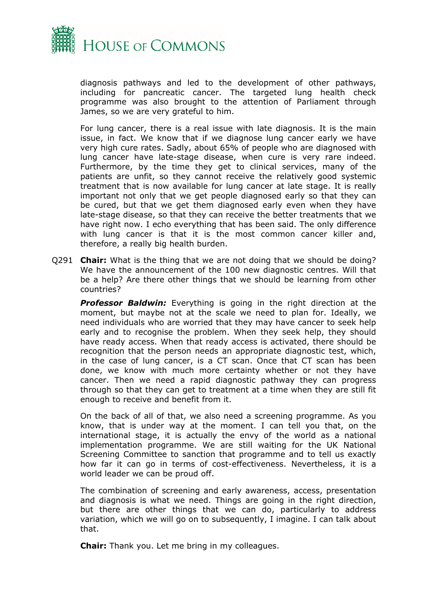

diagnosis pathways and led to the development of other pathways, including for pancreatic cancer. The targeted lung health check programme was also brought to the attention of Parliament through James, so we are very grateful to him.

For lung cancer, there is a real issue with late diagnosis. It is the main issue, in fact. We know that if we diagnose lung cancer early we have very high cure rates. Sadly, about 65% of people who are diagnosed with lung cancer have late-stage disease, when cure is very rare indeed. Furthermore, by the time they get to clinical services, many of the patients are unfit, so they cannot receive the relatively good systemic treatment that is now available for lung cancer at late stage. It is really important not only that we get people diagnosed early so that they can be cured, but that we get them diagnosed early even when they have late-stage disease, so that they can receive the better treatments that we have right now. I echo everything that has been said. The only difference with lung cancer is that it is the most common cancer killer and, therefore, a really big health burden.

Q291 **Chair:** What is the thing that we are not doing that we should be doing? We have the announcement of the 100 new diagnostic centres. Will that be a help? Are there other things that we should be learning from other countries?

**Professor Baldwin:** Everything is going in the right direction at the moment, but maybe not at the scale we need to plan for. Ideally, we need individuals who are worried that they may have cancer to seek help early and to recognise the problem. When they seek help, they should have ready access. When that ready access is activated, there should be recognition that the person needs an appropriate diagnostic test, which, in the case of lung cancer, is a CT scan. Once that CT scan has been done, we know with much more certainty whether or not they have cancer. Then we need a rapid diagnostic pathway they can progress through so that they can get to treatment at a time when they are still fit enough to receive and benefit from it.

On the back of all of that, we also need a screening programme. As you know, that is under way at the moment. I can tell you that, on the international stage, it is actually the envy of the world as a national implementation programme. We are still waiting for the UK National Screening Committee to sanction that programme and to tell us exactly how far it can go in terms of cost-effectiveness. Nevertheless, it is a world leader we can be proud off.

The combination of screening and early awareness, access, presentation and diagnosis is what we need. Things are going in the right direction, but there are other things that we can do, particularly to address variation, which we will go on to subsequently, I imagine. I can talk about that.

**Chair:** Thank you. Let me bring in my colleagues.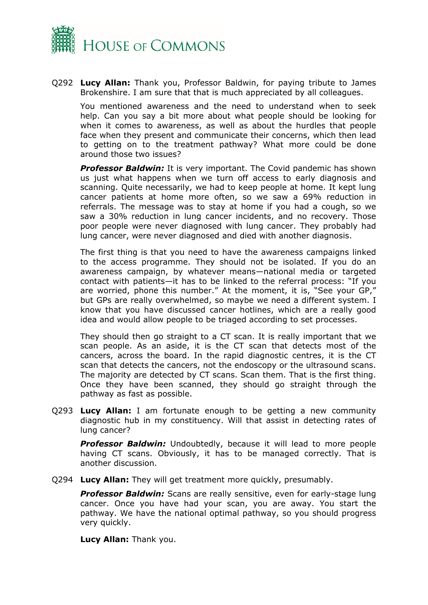

Q292 **Lucy Allan:** Thank you, Professor Baldwin, for paying tribute to James Brokenshire. I am sure that that is much appreciated by all colleagues.

You mentioned awareness and the need to understand when to seek help. Can you say a bit more about what people should be looking for when it comes to awareness, as well as about the hurdles that people face when they present and communicate their concerns, which then lead to getting on to the treatment pathway? What more could be done around those two issues?

**Professor Baldwin:** It is very important. The Covid pandemic has shown us just what happens when we turn off access to early diagnosis and scanning. Quite necessarily, we had to keep people at home. It kept lung cancer patients at home more often, so we saw a 69% reduction in referrals. The message was to stay at home if you had a cough, so we saw a 30% reduction in lung cancer incidents, and no recovery. Those poor people were never diagnosed with lung cancer. They probably had lung cancer, were never diagnosed and died with another diagnosis.

The first thing is that you need to have the awareness campaigns linked to the access programme. They should not be isolated. If you do an awareness campaign, by whatever means—national media or targeted contact with patients—it has to be linked to the referral process: "If you are worried, phone this number." At the moment, it is, "See your GP," but GPs are really overwhelmed, so maybe we need a different system. I know that you have discussed cancer hotlines, which are a really good idea and would allow people to be triaged according to set processes.

They should then go straight to a CT scan. It is really important that we scan people. As an aside, it is the CT scan that detects most of the cancers, across the board. In the rapid diagnostic centres, it is the CT scan that detects the cancers, not the endoscopy or the ultrasound scans. The majority are detected by CT scans. Scan them. That is the first thing. Once they have been scanned, they should go straight through the pathway as fast as possible.

Q293 **Lucy Allan:** I am fortunate enough to be getting a new community diagnostic hub in my constituency. Will that assist in detecting rates of lung cancer?

**Professor Baldwin:** Undoubtedly, because it will lead to more people having CT scans. Obviously, it has to be managed correctly. That is another discussion.

Q294 **Lucy Allan:** They will get treatment more quickly, presumably.

*Professor Baldwin:* Scans are really sensitive, even for early-stage lung cancer. Once you have had your scan, you are away. You start the pathway. We have the national optimal pathway, so you should progress very quickly.

**Lucy Allan:** Thank you.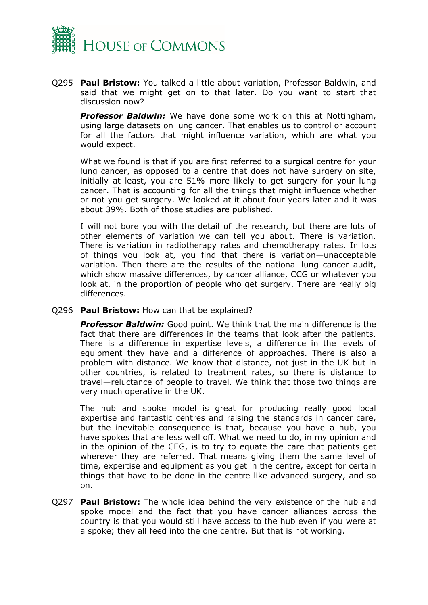

Q295 **Paul Bristow:** You talked a little about variation, Professor Baldwin, and said that we might get on to that later. Do you want to start that discussion now?

*Professor Baldwin:* We have done some work on this at Nottingham, using large datasets on lung cancer. That enables us to control or account for all the factors that might influence variation, which are what you would expect.

What we found is that if you are first referred to a surgical centre for your lung cancer, as opposed to a centre that does not have surgery on site, initially at least, you are 51% more likely to get surgery for your lung cancer. That is accounting for all the things that might influence whether or not you get surgery. We looked at it about four years later and it was about 39%. Both of those studies are published.

I will not bore you with the detail of the research, but there are lots of other elements of variation we can tell you about. There is variation. There is variation in radiotherapy rates and chemotherapy rates. In lots of things you look at, you find that there is variation—unacceptable variation. Then there are the results of the national lung cancer audit, which show massive differences, by cancer alliance, CCG or whatever you look at, in the proportion of people who get surgery. There are really big differences.

Q296 **Paul Bristow:** How can that be explained?

*Professor Baldwin:* Good point. We think that the main difference is the fact that there are differences in the teams that look after the patients. There is a difference in expertise levels, a difference in the levels of equipment they have and a difference of approaches. There is also a problem with distance. We know that distance, not just in the UK but in other countries, is related to treatment rates, so there is distance to travel—reluctance of people to travel. We think that those two things are very much operative in the UK.

The hub and spoke model is great for producing really good local expertise and fantastic centres and raising the standards in cancer care, but the inevitable consequence is that, because you have a hub, you have spokes that are less well off. What we need to do, in my opinion and in the opinion of the CEG, is to try to equate the care that patients get wherever they are referred. That means giving them the same level of time, expertise and equipment as you get in the centre, except for certain things that have to be done in the centre like advanced surgery, and so on.

Q297 **Paul Bristow:** The whole idea behind the very existence of the hub and spoke model and the fact that you have cancer alliances across the country is that you would still have access to the hub even if you were at a spoke; they all feed into the one centre. But that is not working.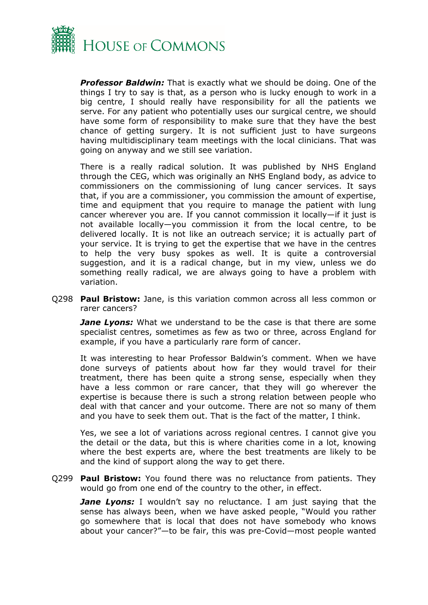

*Professor Baldwin:* That is exactly what we should be doing. One of the things I try to say is that, as a person who is lucky enough to work in a big centre, I should really have responsibility for all the patients we serve. For any patient who potentially uses our surgical centre, we should have some form of responsibility to make sure that they have the best chance of getting surgery. It is not sufficient just to have surgeons having multidisciplinary team meetings with the local clinicians. That was going on anyway and we still see variation.

There is a really radical solution. It was published by NHS England through the CEG, which was originally an NHS England body, as advice to commissioners on the commissioning of lung cancer services. It says that, if you are a commissioner, you commission the amount of expertise, time and equipment that you require to manage the patient with lung cancer wherever you are. If you cannot commission it locally—if it just is not available locally—you commission it from the local centre, to be delivered locally. It is not like an outreach service; it is actually part of your service. It is trying to get the expertise that we have in the centres to help the very busy spokes as well. It is quite a controversial suggestion, and it is a radical change, but in my view, unless we do something really radical, we are always going to have a problem with variation.

Q298 **Paul Bristow:** Jane, is this variation common across all less common or rarer cancers?

*Jane Lyons:* What we understand to be the case is that there are some specialist centres, sometimes as few as two or three, across England for example, if you have a particularly rare form of cancer.

It was interesting to hear Professor Baldwin's comment. When we have done surveys of patients about how far they would travel for their treatment, there has been quite a strong sense, especially when they have a less common or rare cancer, that they will go wherever the expertise is because there is such a strong relation between people who deal with that cancer and your outcome. There are not so many of them and you have to seek them out. That is the fact of the matter, I think.

Yes, we see a lot of variations across regional centres. I cannot give you the detail or the data, but this is where charities come in a lot, knowing where the best experts are, where the best treatments are likely to be and the kind of support along the way to get there.

Q299 **Paul Bristow:** You found there was no reluctance from patients. They would go from one end of the country to the other, in effect.

*Jane Lyons:* I wouldn't say no reluctance. I am just saying that the sense has always been, when we have asked people, "Would you rather go somewhere that is local that does not have somebody who knows about your cancer?"—to be fair, this was pre-Covid—most people wanted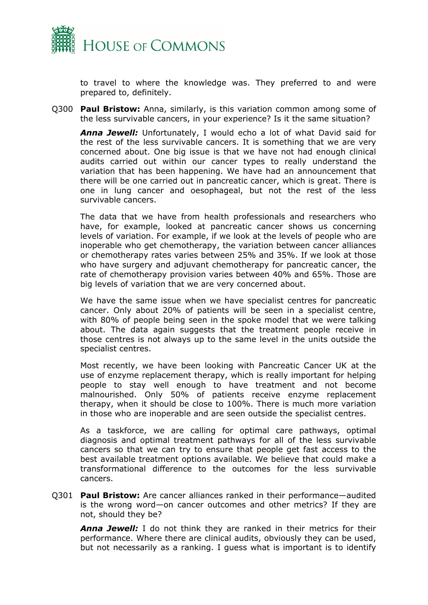

to travel to where the knowledge was. They preferred to and were prepared to, definitely.

Q300 **Paul Bristow:** Anna, similarly, is this variation common among some of the less survivable cancers, in your experience? Is it the same situation?

*Anna Jewell:* Unfortunately, I would echo a lot of what David said for the rest of the less survivable cancers. It is something that we are very concerned about. One big issue is that we have not had enough clinical audits carried out within our cancer types to really understand the variation that has been happening. We have had an announcement that there will be one carried out in pancreatic cancer, which is great. There is one in lung cancer and oesophageal, but not the rest of the less survivable cancers.

The data that we have from health professionals and researchers who have, for example, looked at pancreatic cancer shows us concerning levels of variation. For example, if we look at the levels of people who are inoperable who get chemotherapy, the variation between cancer alliances or chemotherapy rates varies between 25% and 35%. If we look at those who have surgery and adjuvant chemotherapy for pancreatic cancer, the rate of chemotherapy provision varies between 40% and 65%. Those are big levels of variation that we are very concerned about.

We have the same issue when we have specialist centres for pancreatic cancer. Only about 20% of patients will be seen in a specialist centre, with 80% of people being seen in the spoke model that we were talking about. The data again suggests that the treatment people receive in those centres is not always up to the same level in the units outside the specialist centres.

Most recently, we have been looking with Pancreatic Cancer UK at the use of enzyme replacement therapy, which is really important for helping people to stay well enough to have treatment and not become malnourished. Only 50% of patients receive enzyme replacement therapy, when it should be close to 100%. There is much more variation in those who are inoperable and are seen outside the specialist centres.

As a taskforce, we are calling for optimal care pathways, optimal diagnosis and optimal treatment pathways for all of the less survivable cancers so that we can try to ensure that people get fast access to the best available treatment options available. We believe that could make a transformational difference to the outcomes for the less survivable cancers.

Q301 **Paul Bristow:** Are cancer alliances ranked in their performance—audited is the wrong word—on cancer outcomes and other metrics? If they are not, should they be?

*Anna Jewell:* I do not think they are ranked in their metrics for their performance. Where there are clinical audits, obviously they can be used, but not necessarily as a ranking. I guess what is important is to identify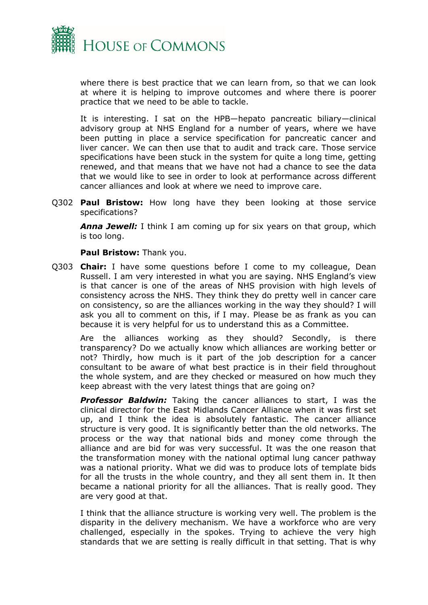

where there is best practice that we can learn from, so that we can look at where it is helping to improve outcomes and where there is poorer practice that we need to be able to tackle.

It is interesting. I sat on the HPB—hepato pancreatic biliary—clinical advisory group at NHS England for a number of years, where we have been putting in place a service specification for pancreatic cancer and liver cancer. We can then use that to audit and track care. Those service specifications have been stuck in the system for quite a long time, getting renewed, and that means that we have not had a chance to see the data that we would like to see in order to look at performance across different cancer alliances and look at where we need to improve care.

Q302 **Paul Bristow:** How long have they been looking at those service specifications?

*Anna Jewell:* I think I am coming up for six years on that group, which is too long.

### **Paul Bristow:** Thank you.

Q303 **Chair:** I have some questions before I come to my colleague, Dean Russell. I am very interested in what you are saying. NHS England's view is that cancer is one of the areas of NHS provision with high levels of consistency across the NHS. They think they do pretty well in cancer care on consistency, so are the alliances working in the way they should? I will ask you all to comment on this, if I may. Please be as frank as you can because it is very helpful for us to understand this as a Committee.

Are the alliances working as they should? Secondly, is there transparency? Do we actually know which alliances are working better or not? Thirdly, how much is it part of the job description for a cancer consultant to be aware of what best practice is in their field throughout the whole system, and are they checked or measured on how much they keep abreast with the very latest things that are going on?

*Professor Baldwin:* Taking the cancer alliances to start, I was the clinical director for the East Midlands Cancer Alliance when it was first set up, and I think the idea is absolutely fantastic. The cancer alliance structure is very good. It is significantly better than the old networks. The process or the way that national bids and money come through the alliance and are bid for was very successful. It was the one reason that the transformation money with the national optimal lung cancer pathway was a national priority. What we did was to produce lots of template bids for all the trusts in the whole country, and they all sent them in. It then became a national priority for all the alliances. That is really good. They are very good at that.

I think that the alliance structure is working very well. The problem is the disparity in the delivery mechanism. We have a workforce who are very challenged, especially in the spokes. Trying to achieve the very high standards that we are setting is really difficult in that setting. That is why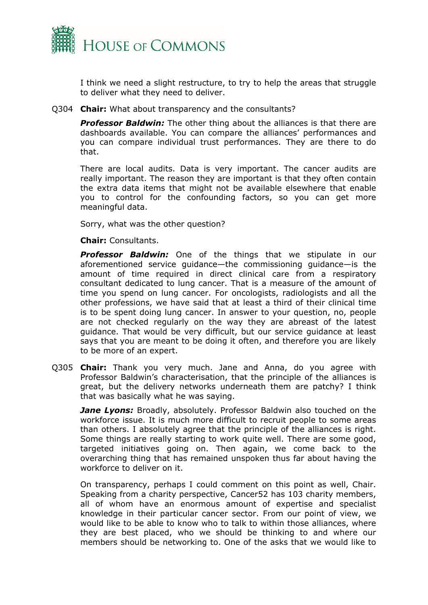

I think we need a slight restructure, to try to help the areas that struggle to deliver what they need to deliver.

### Q304 **Chair:** What about transparency and the consultants?

*Professor Baldwin:* The other thing about the alliances is that there are dashboards available. You can compare the alliances' performances and you can compare individual trust performances. They are there to do that.

There are local audits. Data is very important. The cancer audits are really important. The reason they are important is that they often contain the extra data items that might not be available elsewhere that enable you to control for the confounding factors, so you can get more meaningful data.

Sorry, what was the other question?

**Chair:** Consultants.

*Professor Baldwin:* One of the things that we stipulate in our aforementioned service guidance—the commissioning guidance—is the amount of time required in direct clinical care from a respiratory consultant dedicated to lung cancer. That is a measure of the amount of time you spend on lung cancer. For oncologists, radiologists and all the other professions, we have said that at least a third of their clinical time is to be spent doing lung cancer. In answer to your question, no, people are not checked regularly on the way they are abreast of the latest guidance. That would be very difficult, but our service guidance at least says that you are meant to be doing it often, and therefore you are likely to be more of an expert.

Q305 **Chair:** Thank you very much. Jane and Anna, do you agree with Professor Baldwin's characterisation, that the principle of the alliances is great, but the delivery networks underneath them are patchy? I think that was basically what he was saying.

**Jane Lyons:** Broadly, absolutely. Professor Baldwin also touched on the workforce issue. It is much more difficult to recruit people to some areas than others. I absolutely agree that the principle of the alliances is right. Some things are really starting to work quite well. There are some good, targeted initiatives going on. Then again, we come back to the overarching thing that has remained unspoken thus far about having the workforce to deliver on it.

On transparency, perhaps I could comment on this point as well, Chair. Speaking from a charity perspective, Cancer52 has 103 charity members, all of whom have an enormous amount of expertise and specialist knowledge in their particular cancer sector. From our point of view, we would like to be able to know who to talk to within those alliances, where they are best placed, who we should be thinking to and where our members should be networking to. One of the asks that we would like to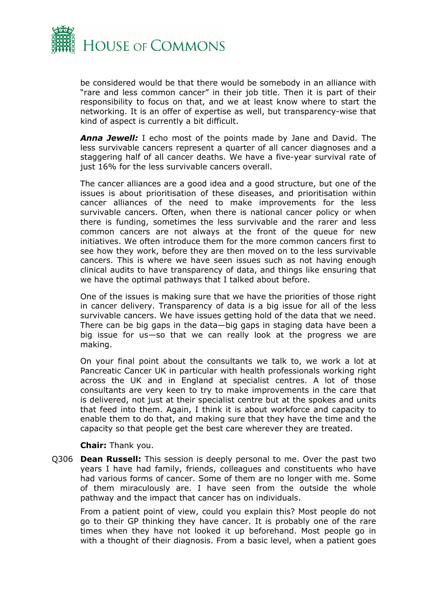

be considered would be that there would be somebody in an alliance with "rare and less common cancer" in their job title. Then it is part of their responsibility to focus on that, and we at least know where to start the networking. It is an offer of expertise as well, but transparency-wise that kind of aspect is currently a bit difficult.

*Anna Jewell:* I echo most of the points made by Jane and David. The less survivable cancers represent a quarter of all cancer diagnoses and a staggering half of all cancer deaths. We have a five-year survival rate of just 16% for the less survivable cancers overall.

The cancer alliances are a good idea and a good structure, but one of the issues is about prioritisation of these diseases, and prioritisation within cancer alliances of the need to make improvements for the less survivable cancers. Often, when there is national cancer policy or when there is funding, sometimes the less survivable and the rarer and less common cancers are not always at the front of the queue for new initiatives. We often introduce them for the more common cancers first to see how they work, before they are then moved on to the less survivable cancers. This is where we have seen issues such as not having enough clinical audits to have transparency of data, and things like ensuring that we have the optimal pathways that I talked about before.

One of the issues is making sure that we have the priorities of those right in cancer delivery. Transparency of data is a big issue for all of the less survivable cancers. We have issues getting hold of the data that we need. There can be big gaps in the data—big gaps in staging data have been a big issue for us—so that we can really look at the progress we are making.

On your final point about the consultants we talk to, we work a lot at Pancreatic Cancer UK in particular with health professionals working right across the UK and in England at specialist centres. A lot of those consultants are very keen to try to make improvements in the care that is delivered, not just at their specialist centre but at the spokes and units that feed into them. Again, I think it is about workforce and capacity to enable them to do that, and making sure that they have the time and the capacity so that people get the best care wherever they are treated.

**Chair:** Thank you.

Q306 **Dean Russell:** This session is deeply personal to me. Over the past two years I have had family, friends, colleagues and constituents who have had various forms of cancer. Some of them are no longer with me. Some of them miraculously are. I have seen from the outside the whole pathway and the impact that cancer has on individuals.

From a patient point of view, could you explain this? Most people do not go to their GP thinking they have cancer. It is probably one of the rare times when they have not looked it up beforehand. Most people go in with a thought of their diagnosis. From a basic level, when a patient goes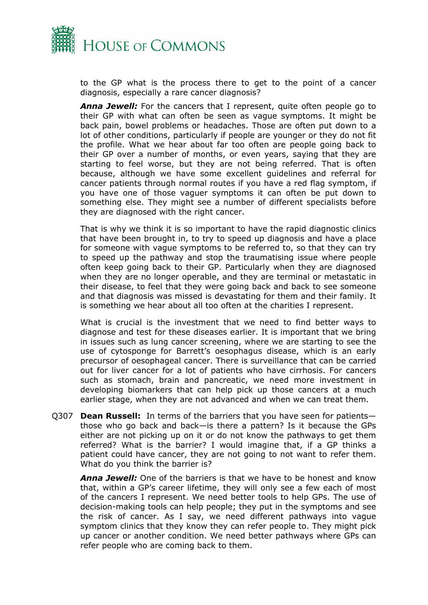

to the GP what is the process there to get to the point of a cancer diagnosis, especially a rare cancer diagnosis?

*Anna Jewell:* For the cancers that I represent, quite often people go to their GP with what can often be seen as vague symptoms. It might be back pain, bowel problems or headaches. Those are often put down to a lot of other conditions, particularly if people are younger or they do not fit the profile. What we hear about far too often are people going back to their GP over a number of months, or even years, saying that they are starting to feel worse, but they are not being referred. That is often because, although we have some excellent guidelines and referral for cancer patients through normal routes if you have a red flag symptom, if you have one of those vaguer symptoms it can often be put down to something else. They might see a number of different specialists before they are diagnosed with the right cancer.

That is why we think it is so important to have the rapid diagnostic clinics that have been brought in, to try to speed up diagnosis and have a place for someone with vague symptoms to be referred to, so that they can try to speed up the pathway and stop the traumatising issue where people often keep going back to their GP. Particularly when they are diagnosed when they are no longer operable, and they are terminal or metastatic in their disease, to feel that they were going back and back to see someone and that diagnosis was missed is devastating for them and their family. It is something we hear about all too often at the charities I represent.

What is crucial is the investment that we need to find better ways to diagnose and test for these diseases earlier. It is important that we bring in issues such as lung cancer screening, where we are starting to see the use of cytosponge for Barrett's oesophagus disease, which is an early precursor of oesophageal cancer. There is surveillance that can be carried out for liver cancer for a lot of patients who have cirrhosis. For cancers such as stomach, brain and pancreatic, we need more investment in developing biomarkers that can help pick up those cancers at a much earlier stage, when they are not advanced and when we can treat them.

Q307 **Dean Russell:** In terms of the barriers that you have seen for patients those who go back and back—is there a pattern? Is it because the GPs either are not picking up on it or do not know the pathways to get them referred? What is the barrier? I would imagine that, if a GP thinks a patient could have cancer, they are not going to not want to refer them. What do you think the barrier is?

*Anna Jewell:* One of the barriers is that we have to be honest and know that, within a GP's career lifetime, they will only see a few each of most of the cancers I represent. We need better tools to help GPs. The use of decision-making tools can help people; they put in the symptoms and see the risk of cancer. As I say, we need different pathways into vague symptom clinics that they know they can refer people to. They might pick up cancer or another condition. We need better pathways where GPs can refer people who are coming back to them.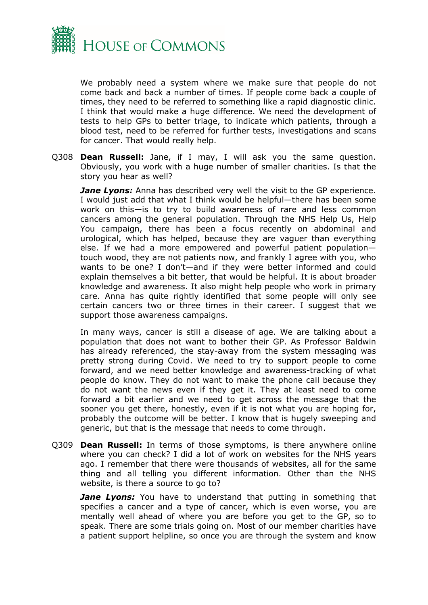

We probably need a system where we make sure that people do not come back and back a number of times. If people come back a couple of times, they need to be referred to something like a rapid diagnostic clinic. I think that would make a huge difference. We need the development of tests to help GPs to better triage, to indicate which patients, through a blood test, need to be referred for further tests, investigations and scans for cancer. That would really help.

Q308 **Dean Russell:** Jane, if I may, I will ask you the same question. Obviously, you work with a huge number of smaller charities. Is that the story you hear as well?

*Jane Lyons:* Anna has described very well the visit to the GP experience. I would just add that what I think would be helpful—there has been some work on this—is to try to build awareness of rare and less common cancers among the general population. Through the NHS Help Us, Help You campaign, there has been a focus recently on abdominal and urological, which has helped, because they are vaguer than everything else. If we had a more empowered and powerful patient population touch wood, they are not patients now, and frankly I agree with you, who wants to be one? I don't—and if they were better informed and could explain themselves a bit better, that would be helpful. It is about broader knowledge and awareness. It also might help people who work in primary care. Anna has quite rightly identified that some people will only see certain cancers two or three times in their career. I suggest that we support those awareness campaigns.

In many ways, cancer is still a disease of age. We are talking about a population that does not want to bother their GP. As Professor Baldwin has already referenced, the stay-away from the system messaging was pretty strong during Covid. We need to try to support people to come forward, and we need better knowledge and awareness-tracking of what people do know. They do not want to make the phone call because they do not want the news even if they get it. They at least need to come forward a bit earlier and we need to get across the message that the sooner you get there, honestly, even if it is not what you are hoping for, probably the outcome will be better. I know that is hugely sweeping and generic, but that is the message that needs to come through.

Q309 **Dean Russell:** In terms of those symptoms, is there anywhere online where you can check? I did a lot of work on websites for the NHS years ago. I remember that there were thousands of websites, all for the same thing and all telling you different information. Other than the NHS website, is there a source to go to?

*Jane Lyons:* You have to understand that putting in something that specifies a cancer and a type of cancer, which is even worse, you are mentally well ahead of where you are before you get to the GP, so to speak. There are some trials going on. Most of our member charities have a patient support helpline, so once you are through the system and know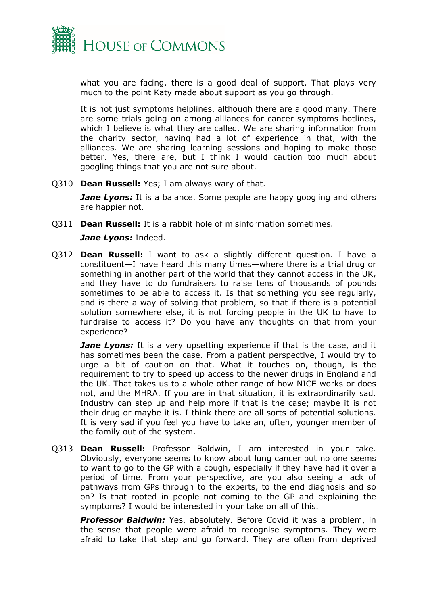

what you are facing, there is a good deal of support. That plays very much to the point Katy made about support as you go through.

It is not just symptoms helplines, although there are a good many. There are some trials going on among alliances for cancer symptoms hotlines, which I believe is what they are called. We are sharing information from the charity sector, having had a lot of experience in that, with the alliances. We are sharing learning sessions and hoping to make those better. Yes, there are, but I think I would caution too much about googling things that you are not sure about.

Q310 **Dean Russell:** Yes; I am always wary of that.

*Jane Lyons:* It is a balance. Some people are happy googling and others are happier not.

Q311 **Dean Russell:** It is a rabbit hole of misinformation sometimes.

*Jane Lyons:* Indeed.

Q312 **Dean Russell:** I want to ask a slightly different question. I have a constituent—I have heard this many times—where there is a trial drug or something in another part of the world that they cannot access in the UK, and they have to do fundraisers to raise tens of thousands of pounds sometimes to be able to access it. Is that something you see regularly, and is there a way of solving that problem, so that if there is a potential solution somewhere else, it is not forcing people in the UK to have to fundraise to access it? Do you have any thoughts on that from your experience?

*Jane Lyons:* It is a very upsetting experience if that is the case, and it has sometimes been the case. From a patient perspective, I would try to urge a bit of caution on that. What it touches on, though, is the requirement to try to speed up access to the newer drugs in England and the UK. That takes us to a whole other range of how NICE works or does not, and the MHRA. If you are in that situation, it is extraordinarily sad. Industry can step up and help more if that is the case; maybe it is not their drug or maybe it is. I think there are all sorts of potential solutions. It is very sad if you feel you have to take an, often, younger member of the family out of the system.

Q313 **Dean Russell:** Professor Baldwin, I am interested in your take. Obviously, everyone seems to know about lung cancer but no one seems to want to go to the GP with a cough, especially if they have had it over a period of time. From your perspective, are you also seeing a lack of pathways from GPs through to the experts, to the end diagnosis and so on? Is that rooted in people not coming to the GP and explaining the symptoms? I would be interested in your take on all of this.

*Professor Baldwin:* Yes, absolutely. Before Covid it was a problem, in the sense that people were afraid to recognise symptoms. They were afraid to take that step and go forward. They are often from deprived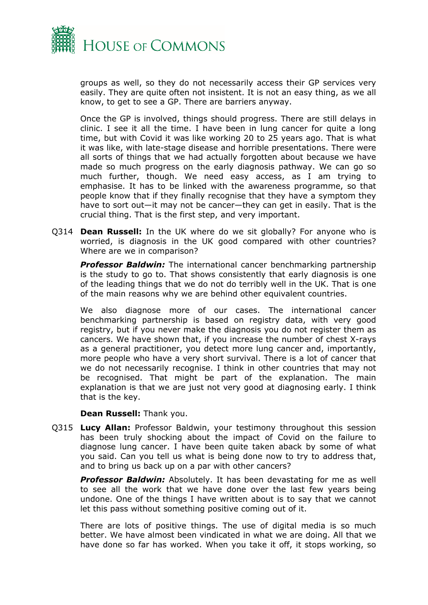

groups as well, so they do not necessarily access their GP services very easily. They are quite often not insistent. It is not an easy thing, as we all know, to get to see a GP. There are barriers anyway.

Once the GP is involved, things should progress. There are still delays in clinic. I see it all the time. I have been in lung cancer for quite a long time, but with Covid it was like working 20 to 25 years ago. That is what it was like, with late-stage disease and horrible presentations. There were all sorts of things that we had actually forgotten about because we have made so much progress on the early diagnosis pathway. We can go so much further, though. We need easy access, as I am trying to emphasise. It has to be linked with the awareness programme, so that people know that if they finally recognise that they have a symptom they have to sort out—it may not be cancer—they can get in easily. That is the crucial thing. That is the first step, and very important.

Q314 **Dean Russell:** In the UK where do we sit globally? For anyone who is worried, is diagnosis in the UK good compared with other countries? Where are we in comparison?

*Professor Baldwin:* The international cancer benchmarking partnership is the study to go to. That shows consistently that early diagnosis is one of the leading things that we do not do terribly well in the UK. That is one of the main reasons why we are behind other equivalent countries.

We also diagnose more of our cases. The international cancer benchmarking partnership is based on registry data, with very good registry, but if you never make the diagnosis you do not register them as cancers. We have shown that, if you increase the number of chest X-rays as a general practitioner, you detect more lung cancer and, importantly, more people who have a very short survival. There is a lot of cancer that we do not necessarily recognise. I think in other countries that may not be recognised. That might be part of the explanation. The main explanation is that we are just not very good at diagnosing early. I think that is the key.

#### **Dean Russell:** Thank you.

Q315 **Lucy Allan:** Professor Baldwin, your testimony throughout this session has been truly shocking about the impact of Covid on the failure to diagnose lung cancer. I have been quite taken aback by some of what you said. Can you tell us what is being done now to try to address that, and to bring us back up on a par with other cancers?

*Professor Baldwin:* Absolutely. It has been devastating for me as well to see all the work that we have done over the last few years being undone. One of the things I have written about is to say that we cannot let this pass without something positive coming out of it.

There are lots of positive things. The use of digital media is so much better. We have almost been vindicated in what we are doing. All that we have done so far has worked. When you take it off, it stops working, so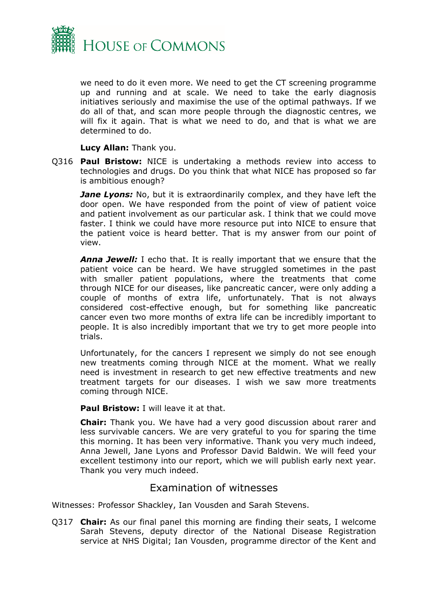

we need to do it even more. We need to get the CT screening programme up and running and at scale. We need to take the early diagnosis initiatives seriously and maximise the use of the optimal pathways. If we do all of that, and scan more people through the diagnostic centres, we will fix it again. That is what we need to do, and that is what we are determined to do.

**Lucy Allan:** Thank you.

Q316 **Paul Bristow:** NICE is undertaking a methods review into access to technologies and drugs. Do you think that what NICE has proposed so far is ambitious enough?

*Jane Lyons:* No, but it is extraordinarily complex, and they have left the door open. We have responded from the point of view of patient voice and patient involvement as our particular ask. I think that we could move faster. I think we could have more resource put into NICE to ensure that the patient voice is heard better. That is my answer from our point of view.

*Anna Jewell:* I echo that. It is really important that we ensure that the patient voice can be heard. We have struggled sometimes in the past with smaller patient populations, where the treatments that come through NICE for our diseases, like pancreatic cancer, were only adding a couple of months of extra life, unfortunately. That is not always considered cost-effective enough, but for something like pancreatic cancer even two more months of extra life can be incredibly important to people. It is also incredibly important that we try to get more people into trials.

Unfortunately, for the cancers I represent we simply do not see enough new treatments coming through NICE at the moment. What we really need is investment in research to get new effective treatments and new treatment targets for our diseases. I wish we saw more treatments coming through NICE.

## **Paul Bristow:** I will leave it at that.

**Chair:** Thank you. We have had a very good discussion about rarer and less survivable cancers. We are very grateful to you for sparing the time this morning. It has been very informative. Thank you very much indeed, Anna Jewell, Jane Lyons and Professor David Baldwin. We will feed your excellent testimony into our report, which we will publish early next year. Thank you very much indeed.

## <span id="page-20-0"></span>Examination of witnesses

Witnesses: Professor Shackley, Ian Vousden and Sarah Stevens.

Q317 **Chair:** As our final panel this morning are finding their seats, I welcome Sarah Stevens, deputy director of the National Disease Registration service at NHS Digital; Ian Vousden, programme director of the Kent and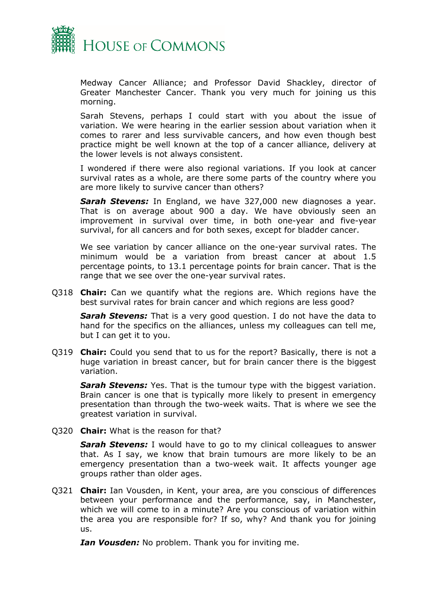

Medway Cancer Alliance; and Professor David Shackley, director of Greater Manchester Cancer. Thank you very much for joining us this morning.

Sarah Stevens, perhaps I could start with you about the issue of variation. We were hearing in the earlier session about variation when it comes to rarer and less survivable cancers, and how even though best practice might be well known at the top of a cancer alliance, delivery at the lower levels is not always consistent.

I wondered if there were also regional variations. If you look at cancer survival rates as a whole, are there some parts of the country where you are more likely to survive cancer than others?

*Sarah Stevens:* In England, we have 327,000 new diagnoses a year. That is on average about 900 a day. We have obviously seen an improvement in survival over time, in both one-year and five-year survival, for all cancers and for both sexes, except for bladder cancer.

We see variation by cancer alliance on the one-year survival rates. The minimum would be a variation from breast cancer at about 1.5 percentage points, to 13.1 percentage points for brain cancer. That is the range that we see over the one-year survival rates.

Q318 **Chair:** Can we quantify what the regions are. Which regions have the best survival rates for brain cancer and which regions are less good?

*Sarah Stevens:* That is a very good question. I do not have the data to hand for the specifics on the alliances, unless my colleagues can tell me, but I can get it to you.

Q319 **Chair:** Could you send that to us for the report? Basically, there is not a huge variation in breast cancer, but for brain cancer there is the biggest variation.

*Sarah Stevens:* Yes. That is the tumour type with the biggest variation. Brain cancer is one that is typically more likely to present in emergency presentation than through the two-week waits. That is where we see the greatest variation in survival.

Q320 **Chair:** What is the reason for that?

**Sarah Stevens:** I would have to go to my clinical colleagues to answer that. As I say, we know that brain tumours are more likely to be an emergency presentation than a two-week wait. It affects younger age groups rather than older ages.

Q321 **Chair:** Ian Vousden, in Kent, your area, are you conscious of differences between your performance and the performance, say, in Manchester, which we will come to in a minute? Are you conscious of variation within the area you are responsible for? If so, why? And thank you for joining us.

*Ian Vousden:* No problem. Thank you for inviting me.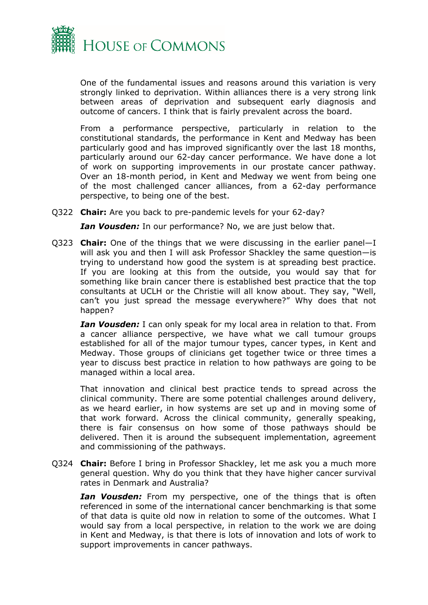

One of the fundamental issues and reasons around this variation is very strongly linked to deprivation. Within alliances there is a very strong link between areas of deprivation and subsequent early diagnosis and outcome of cancers. I think that is fairly prevalent across the board.

From a performance perspective, particularly in relation to the constitutional standards, the performance in Kent and Medway has been particularly good and has improved significantly over the last 18 months, particularly around our 62-day cancer performance. We have done a lot of work on supporting improvements in our prostate cancer pathway. Over an 18-month period, in Kent and Medway we went from being one of the most challenged cancer alliances, from a 62-day performance perspective, to being one of the best.

Q322 **Chair:** Are you back to pre-pandemic levels for your 62-day?

*Ian Vousden:* In our performance? No, we are just below that.

Q323 **Chair:** One of the things that we were discussing in the earlier panel—I will ask you and then I will ask Professor Shackley the same question—is trying to understand how good the system is at spreading best practice. If you are looking at this from the outside, you would say that for something like brain cancer there is established best practice that the top consultants at UCLH or the Christie will all know about. They say, "Well, can't you just spread the message everywhere?" Why does that not happen?

*Ian Vousden:* I can only speak for my local area in relation to that. From a cancer alliance perspective, we have what we call tumour groups established for all of the major tumour types, cancer types, in Kent and Medway. Those groups of clinicians get together twice or three times a year to discuss best practice in relation to how pathways are going to be managed within a local area.

That innovation and clinical best practice tends to spread across the clinical community. There are some potential challenges around delivery, as we heard earlier, in how systems are set up and in moving some of that work forward. Across the clinical community, generally speaking, there is fair consensus on how some of those pathways should be delivered. Then it is around the subsequent implementation, agreement and commissioning of the pathways.

Q324 **Chair:** Before I bring in Professor Shackley, let me ask you a much more general question. Why do you think that they have higher cancer survival rates in Denmark and Australia?

*Ian Vousden:* From my perspective, one of the things that is often referenced in some of the international cancer benchmarking is that some of that data is quite old now in relation to some of the outcomes. What I would say from a local perspective, in relation to the work we are doing in Kent and Medway, is that there is lots of innovation and lots of work to support improvements in cancer pathways.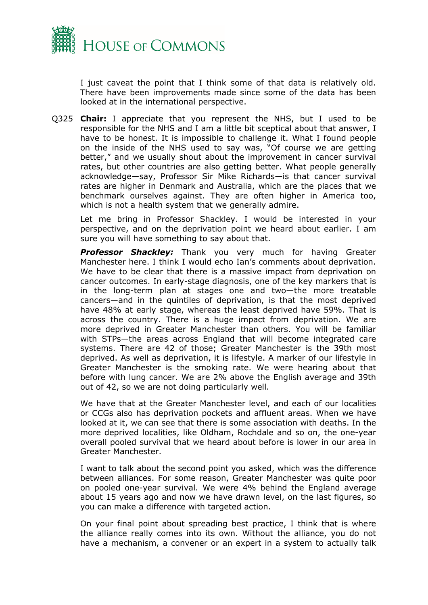

I just caveat the point that I think some of that data is relatively old. There have been improvements made since some of the data has been looked at in the international perspective.

Q325 **Chair:** I appreciate that you represent the NHS, but I used to be responsible for the NHS and I am a little bit sceptical about that answer, I have to be honest. It is impossible to challenge it. What I found people on the inside of the NHS used to say was, "Of course we are getting better," and we usually shout about the improvement in cancer survival rates, but other countries are also getting better. What people generally acknowledge—say, Professor Sir Mike Richards—is that cancer survival rates are higher in Denmark and Australia, which are the places that we benchmark ourselves against. They are often higher in America too, which is not a health system that we generally admire.

Let me bring in Professor Shackley. I would be interested in your perspective, and on the deprivation point we heard about earlier. I am sure you will have something to say about that.

*Professor Shackley:* Thank you very much for having Greater Manchester here. I think I would echo Ian's comments about deprivation. We have to be clear that there is a massive impact from deprivation on cancer outcomes. In early-stage diagnosis, one of the key markers that is in the long-term plan at stages one and two—the more treatable cancers—and in the quintiles of deprivation, is that the most deprived have 48% at early stage, whereas the least deprived have 59%. That is across the country. There is a huge impact from deprivation. We are more deprived in Greater Manchester than others. You will be familiar with STPs—the areas across England that will become integrated care systems. There are 42 of those; Greater Manchester is the 39th most deprived. As well as deprivation, it is lifestyle. A marker of our lifestyle in Greater Manchester is the smoking rate. We were hearing about that before with lung cancer. We are 2% above the English average and 39th out of 42, so we are not doing particularly well.

We have that at the Greater Manchester level, and each of our localities or CCGs also has deprivation pockets and affluent areas. When we have looked at it, we can see that there is some association with deaths. In the more deprived localities, like Oldham, Rochdale and so on, the one-year overall pooled survival that we heard about before is lower in our area in Greater Manchester.

I want to talk about the second point you asked, which was the difference between alliances. For some reason, Greater Manchester was quite poor on pooled one-year survival. We were 4% behind the England average about 15 years ago and now we have drawn level, on the last figures, so you can make a difference with targeted action.

On your final point about spreading best practice, I think that is where the alliance really comes into its own. Without the alliance, you do not have a mechanism, a convener or an expert in a system to actually talk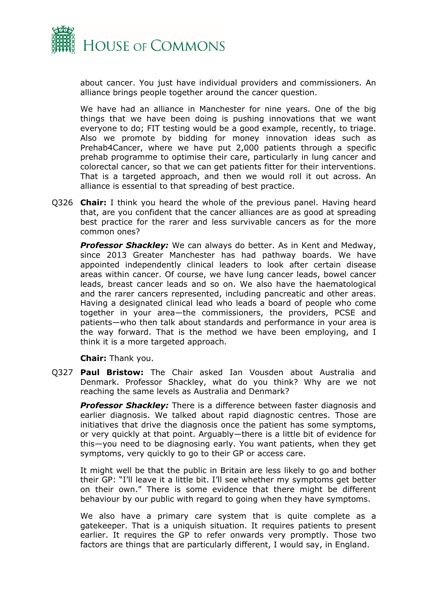

about cancer. You just have individual providers and commissioners. An alliance brings people together around the cancer question.

We have had an alliance in Manchester for nine years. One of the big things that we have been doing is pushing innovations that we want everyone to do; FIT testing would be a good example, recently, to triage. Also we promote by bidding for money innovation ideas such as Prehab4Cancer, where we have put 2,000 patients through a specific prehab programme to optimise their care, particularly in lung cancer and colorectal cancer, so that we can get patients fitter for their interventions. That is a targeted approach, and then we would roll it out across. An alliance is essential to that spreading of best practice.

Q326 **Chair:** I think you heard the whole of the previous panel. Having heard that, are you confident that the cancer alliances are as good at spreading best practice for the rarer and less survivable cancers as for the more common ones?

*Professor Shackley:* We can always do better. As in Kent and Medway, since 2013 Greater Manchester has had pathway boards. We have appointed independently clinical leaders to look after certain disease areas within cancer. Of course, we have lung cancer leads, bowel cancer leads, breast cancer leads and so on. We also have the haematological and the rarer cancers represented, including pancreatic and other areas. Having a designated clinical lead who leads a board of people who come together in your area—the commissioners, the providers, PCSE and patients—who then talk about standards and performance in your area is the way forward. That is the method we have been employing, and I think it is a more targeted approach.

**Chair:** Thank you.

Q327 **Paul Bristow:** The Chair asked Ian Vousden about Australia and Denmark. Professor Shackley, what do you think? Why are we not reaching the same levels as Australia and Denmark?

*Professor Shackley:* There is a difference between faster diagnosis and earlier diagnosis. We talked about rapid diagnostic centres. Those are initiatives that drive the diagnosis once the patient has some symptoms, or very quickly at that point. Arguably—there is a little bit of evidence for this—you need to be diagnosing early. You want patients, when they get symptoms, very quickly to go to their GP or access care.

It might well be that the public in Britain are less likely to go and bother their GP: "I'll leave it a little bit. I'll see whether my symptoms get better on their own." There is some evidence that there might be different behaviour by our public with regard to going when they have symptoms.

We also have a primary care system that is quite complete as a gatekeeper. That is a uniquish situation. It requires patients to present earlier. It requires the GP to refer onwards very promptly. Those two factors are things that are particularly different, I would say, in England.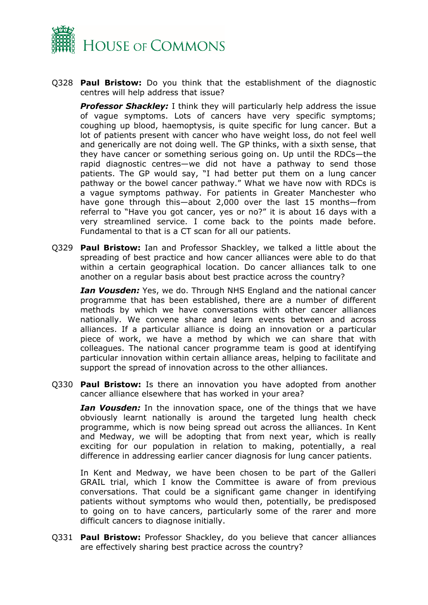

Q328 **Paul Bristow:** Do you think that the establishment of the diagnostic centres will help address that issue?

**Professor Shackley:** I think they will particularly help address the issue of vague symptoms. Lots of cancers have very specific symptoms; coughing up blood, haemoptysis, is quite specific for lung cancer. But a lot of patients present with cancer who have weight loss, do not feel well and generically are not doing well. The GP thinks, with a sixth sense, that they have cancer or something serious going on. Up until the RDCs—the rapid diagnostic centres—we did not have a pathway to send those patients. The GP would say, "I had better put them on a lung cancer pathway or the bowel cancer pathway." What we have now with RDCs is a vague symptoms pathway. For patients in Greater Manchester who have gone through this—about 2,000 over the last 15 months—from referral to "Have you got cancer, yes or no?" it is about 16 days with a very streamlined service. I come back to the points made before. Fundamental to that is a CT scan for all our patients.

Q329 **Paul Bristow:** Ian and Professor Shackley, we talked a little about the spreading of best practice and how cancer alliances were able to do that within a certain geographical location. Do cancer alliances talk to one another on a regular basis about best practice across the country?

*Ian Vousden:* Yes, we do. Through NHS England and the national cancer programme that has been established, there are a number of different methods by which we have conversations with other cancer alliances nationally. We convene share and learn events between and across alliances. If a particular alliance is doing an innovation or a particular piece of work, we have a method by which we can share that with colleagues. The national cancer programme team is good at identifying particular innovation within certain alliance areas, helping to facilitate and support the spread of innovation across to the other alliances.

Q330 **Paul Bristow:** Is there an innovation you have adopted from another cancer alliance elsewhere that has worked in your area?

*Ian Vousden:* In the innovation space, one of the things that we have obviously learnt nationally is around the targeted lung health check programme, which is now being spread out across the alliances. In Kent and Medway, we will be adopting that from next year, which is really exciting for our population in relation to making, potentially, a real difference in addressing earlier cancer diagnosis for lung cancer patients.

In Kent and Medway, we have been chosen to be part of the Galleri GRAIL trial, which I know the Committee is aware of from previous conversations. That could be a significant game changer in identifying patients without symptoms who would then, potentially, be predisposed to going on to have cancers, particularly some of the rarer and more difficult cancers to diagnose initially.

Q331 **Paul Bristow:** Professor Shackley, do you believe that cancer alliances are effectively sharing best practice across the country?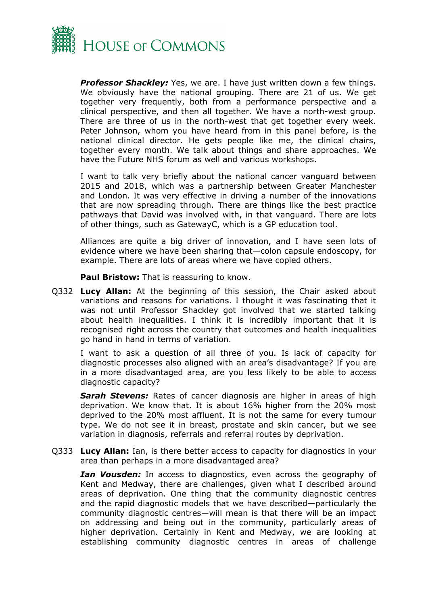

*Professor Shackley:* Yes, we are. I have just written down a few things. We obviously have the national grouping. There are 21 of us. We get together very frequently, both from a performance perspective and a clinical perspective, and then all together. We have a north-west group. There are three of us in the north-west that get together every week. Peter Johnson, whom you have heard from in this panel before, is the national clinical director. He gets people like me, the clinical chairs, together every month. We talk about things and share approaches. We have the Future NHS forum as well and various workshops.

I want to talk very briefly about the national cancer vanguard between 2015 and 2018, which was a partnership between Greater Manchester and London. It was very effective in driving a number of the innovations that are now spreading through. There are things like the best practice pathways that David was involved with, in that vanguard. There are lots of other things, such as GatewayC, which is a GP education tool.

Alliances are quite a big driver of innovation, and I have seen lots of evidence where we have been sharing that—colon capsule endoscopy, for example. There are lots of areas where we have copied others.

**Paul Bristow:** That is reassuring to know.

Q332 **Lucy Allan:** At the beginning of this session, the Chair asked about variations and reasons for variations. I thought it was fascinating that it was not until Professor Shackley got involved that we started talking about health inequalities. I think it is incredibly important that it is recognised right across the country that outcomes and health inequalities go hand in hand in terms of variation.

I want to ask a question of all three of you. Is lack of capacity for diagnostic processes also aligned with an area's disadvantage? If you are in a more disadvantaged area, are you less likely to be able to access diagnostic capacity?

*Sarah Stevens:* Rates of cancer diagnosis are higher in areas of high deprivation. We know that. It is about 16% higher from the 20% most deprived to the 20% most affluent. It is not the same for every tumour type. We do not see it in breast, prostate and skin cancer, but we see variation in diagnosis, referrals and referral routes by deprivation.

Q333 **Lucy Allan:** Ian, is there better access to capacity for diagnostics in your area than perhaps in a more disadvantaged area?

*Ian Vousden:* In access to diagnostics, even across the geography of Kent and Medway, there are challenges, given what I described around areas of deprivation. One thing that the community diagnostic centres and the rapid diagnostic models that we have described—particularly the community diagnostic centres—will mean is that there will be an impact on addressing and being out in the community, particularly areas of higher deprivation. Certainly in Kent and Medway, we are looking at establishing community diagnostic centres in areas of challenge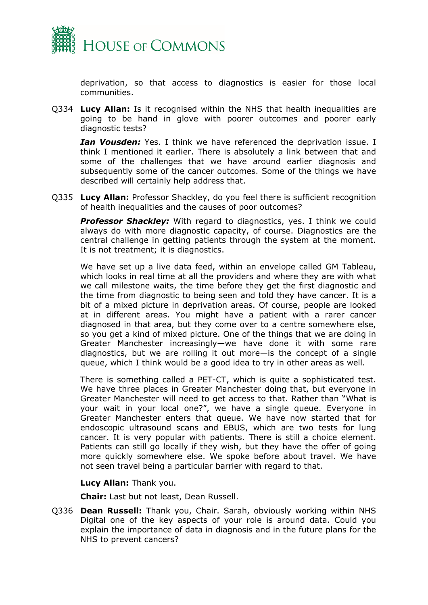

deprivation, so that access to diagnostics is easier for those local communities.

Q334 **Lucy Allan:** Is it recognised within the NHS that health inequalities are going to be hand in glove with poorer outcomes and poorer early diagnostic tests?

*Ian Vousden:* Yes. I think we have referenced the deprivation issue. I think I mentioned it earlier. There is absolutely a link between that and some of the challenges that we have around earlier diagnosis and subsequently some of the cancer outcomes. Some of the things we have described will certainly help address that.

Q335 **Lucy Allan:** Professor Shackley, do you feel there is sufficient recognition of health inequalities and the causes of poor outcomes?

**Professor Shackley:** With regard to diagnostics, yes. I think we could always do with more diagnostic capacity, of course. Diagnostics are the central challenge in getting patients through the system at the moment. It is not treatment; it is diagnostics.

We have set up a live data feed, within an envelope called GM Tableau, which looks in real time at all the providers and where they are with what we call milestone waits, the time before they get the first diagnostic and the time from diagnostic to being seen and told they have cancer. It is a bit of a mixed picture in deprivation areas. Of course, people are looked at in different areas. You might have a patient with a rarer cancer diagnosed in that area, but they come over to a centre somewhere else, so you get a kind of mixed picture. One of the things that we are doing in Greater Manchester increasingly—we have done it with some rare diagnostics, but we are rolling it out more—is the concept of a single queue, which I think would be a good idea to try in other areas as well.

There is something called a PET-CT, which is quite a sophisticated test. We have three places in Greater Manchester doing that, but everyone in Greater Manchester will need to get access to that. Rather than "What is your wait in your local one?", we have a single queue. Everyone in Greater Manchester enters that queue. We have now started that for endoscopic ultrasound scans and EBUS, which are two tests for lung cancer. It is very popular with patients. There is still a choice element. Patients can still go locally if they wish, but they have the offer of going more quickly somewhere else. We spoke before about travel. We have not seen travel being a particular barrier with regard to that.

**Lucy Allan:** Thank you.

**Chair:** Last but not least, Dean Russell.

Q336 **Dean Russell:** Thank you, Chair. Sarah, obviously working within NHS Digital one of the key aspects of your role is around data. Could you explain the importance of data in diagnosis and in the future plans for the NHS to prevent cancers?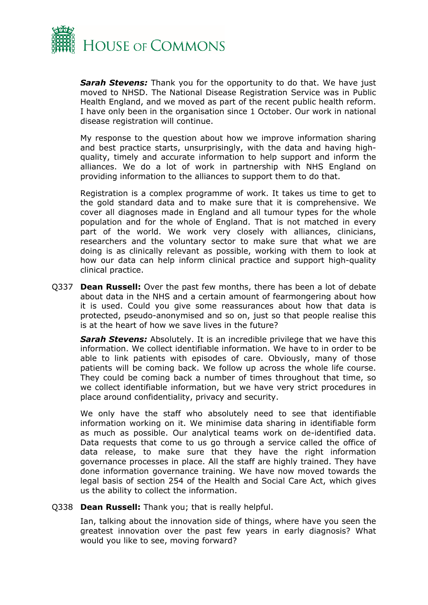

*Sarah Stevens:* Thank you for the opportunity to do that. We have just moved to NHSD. The National Disease Registration Service was in Public Health England, and we moved as part of the recent public health reform. I have only been in the organisation since 1 October. Our work in national disease registration will continue.

My response to the question about how we improve information sharing and best practice starts, unsurprisingly, with the data and having highquality, timely and accurate information to help support and inform the alliances. We do a lot of work in partnership with NHS England on providing information to the alliances to support them to do that.

Registration is a complex programme of work. It takes us time to get to the gold standard data and to make sure that it is comprehensive. We cover all diagnoses made in England and all tumour types for the whole population and for the whole of England. That is not matched in every part of the world. We work very closely with alliances, clinicians, researchers and the voluntary sector to make sure that what we are doing is as clinically relevant as possible, working with them to look at how our data can help inform clinical practice and support high-quality clinical practice.

Q337 **Dean Russell:** Over the past few months, there has been a lot of debate about data in the NHS and a certain amount of fearmongering about how it is used. Could you give some reassurances about how that data is protected, pseudo-anonymised and so on, just so that people realise this is at the heart of how we save lives in the future?

*Sarah Stevens:* Absolutely. It is an incredible privilege that we have this information. We collect identifiable information. We have to in order to be able to link patients with episodes of care. Obviously, many of those patients will be coming back. We follow up across the whole life course. They could be coming back a number of times throughout that time, so we collect identifiable information, but we have very strict procedures in place around confidentiality, privacy and security.

We only have the staff who absolutely need to see that identifiable information working on it. We minimise data sharing in identifiable form as much as possible. Our analytical teams work on de-identified data. Data requests that come to us go through a service called the office of data release, to make sure that they have the right information governance processes in place. All the staff are highly trained. They have done information governance training. We have now moved towards the legal basis of section 254 of the Health and Social Care Act, which gives us the ability to collect the information.

Q338 **Dean Russell:** Thank you; that is really helpful.

Ian, talking about the innovation side of things, where have you seen the greatest innovation over the past few years in early diagnosis? What would you like to see, moving forward?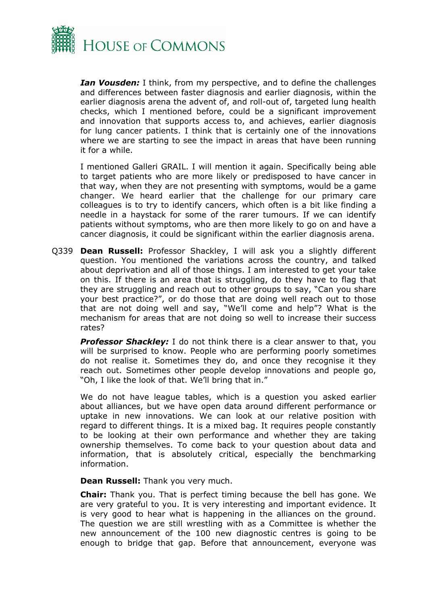

*Ian Vousden:* I think, from my perspective, and to define the challenges and differences between faster diagnosis and earlier diagnosis, within the earlier diagnosis arena the advent of, and roll-out of, targeted lung health checks, which I mentioned before, could be a significant improvement and innovation that supports access to, and achieves, earlier diagnosis for lung cancer patients. I think that is certainly one of the innovations where we are starting to see the impact in areas that have been running it for a while.

I mentioned Galleri GRAIL. I will mention it again. Specifically being able to target patients who are more likely or predisposed to have cancer in that way, when they are not presenting with symptoms, would be a game changer. We heard earlier that the challenge for our primary care colleagues is to try to identify cancers, which often is a bit like finding a needle in a haystack for some of the rarer tumours. If we can identify patients without symptoms, who are then more likely to go on and have a cancer diagnosis, it could be significant within the earlier diagnosis arena.

Q339 **Dean Russell:** Professor Shackley, I will ask you a slightly different question. You mentioned the variations across the country, and talked about deprivation and all of those things. I am interested to get your take on this. If there is an area that is struggling, do they have to flag that they are struggling and reach out to other groups to say, "Can you share your best practice?", or do those that are doing well reach out to those that are not doing well and say, "We'll come and help"? What is the mechanism for areas that are not doing so well to increase their success rates?

**Professor Shackley:** I do not think there is a clear answer to that, you will be surprised to know. People who are performing poorly sometimes do not realise it. Sometimes they do, and once they recognise it they reach out. Sometimes other people develop innovations and people go, "Oh, I like the look of that. We'll bring that in."

We do not have league tables, which is a question you asked earlier about alliances, but we have open data around different performance or uptake in new innovations. We can look at our relative position with regard to different things. It is a mixed bag. It requires people constantly to be looking at their own performance and whether they are taking ownership themselves. To come back to your question about data and information, that is absolutely critical, especially the benchmarking information.

**Dean Russell:** Thank you very much.

**Chair:** Thank you. That is perfect timing because the bell has gone. We are very grateful to you. It is very interesting and important evidence. It is very good to hear what is happening in the alliances on the ground. The question we are still wrestling with as a Committee is whether the new announcement of the 100 new diagnostic centres is going to be enough to bridge that gap. Before that announcement, everyone was